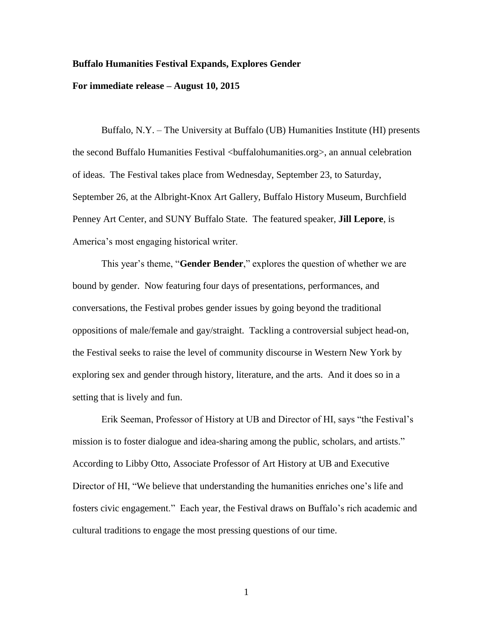## **Buffalo Humanities Festival Expands, Explores Gender**

## **For immediate release – August 10, 2015**

Buffalo, N.Y. – The University at Buffalo (UB) Humanities Institute (HI) presents the second Buffalo Humanities Festival <buffalohumanities.org>, an annual celebration of ideas. The Festival takes place from Wednesday, September 23, to Saturday, September 26, at the Albright-Knox Art Gallery, Buffalo History Museum, Burchfield Penney Art Center, and SUNY Buffalo State. The featured speaker, **Jill Lepore**, is America's most engaging historical writer.

This year's theme, "**Gender Bender**," explores the question of whether we are bound by gender. Now featuring four days of presentations, performances, and conversations, the Festival probes gender issues by going beyond the traditional oppositions of male/female and gay/straight. Tackling a controversial subject head-on, the Festival seeks to raise the level of community discourse in Western New York by exploring sex and gender through history, literature, and the arts. And it does so in a setting that is lively and fun.

Erik Seeman, Professor of History at UB and Director of HI, says "the Festival's mission is to foster dialogue and idea-sharing among the public, scholars, and artists." According to Libby Otto, Associate Professor of Art History at UB and Executive Director of HI, "We believe that understanding the humanities enriches one's life and fosters civic engagement." Each year, the Festival draws on Buffalo's rich academic and cultural traditions to engage the most pressing questions of our time.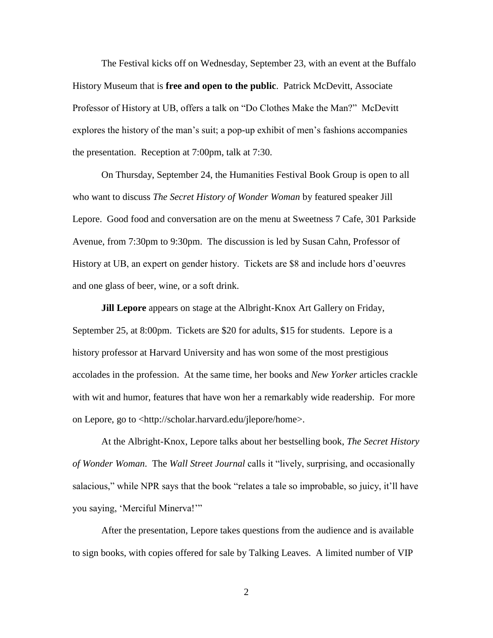The Festival kicks off on Wednesday, September 23, with an event at the Buffalo History Museum that is **free and open to the public**. Patrick McDevitt, Associate Professor of History at UB, offers a talk on "Do Clothes Make the Man?" McDevitt explores the history of the man's suit; a pop-up exhibit of men's fashions accompanies the presentation. Reception at 7:00pm, talk at 7:30.

On Thursday, September 24, the Humanities Festival Book Group is open to all who want to discuss *The Secret History of Wonder Woman* by featured speaker Jill Lepore. Good food and conversation are on the menu at Sweetness 7 Cafe, 301 Parkside Avenue, from 7:30pm to 9:30pm. The discussion is led by Susan Cahn, Professor of History at UB, an expert on gender history. Tickets are \$8 and include hors d'oeuvres and one glass of beer, wine, or a soft drink.

**Jill Lepore** appears on stage at the Albright-Knox Art Gallery on Friday, September 25, at 8:00pm. Tickets are \$20 for adults, \$15 for students. Lepore is a history professor at Harvard University and has won some of the most prestigious accolades in the profession. At the same time, her books and *New Yorker* articles crackle with wit and humor, features that have won her a remarkably wide readership. For more on Lepore, go to <http://scholar.harvard.edu/jlepore/home>.

At the Albright-Knox, Lepore talks about her bestselling book, *The Secret History of Wonder Woman*. The *Wall Street Journal* calls it "lively, surprising, and occasionally salacious," while NPR says that the book "relates a tale so improbable, so juicy, it'll have you saying, 'Merciful Minerva!'"

After the presentation, Lepore takes questions from the audience and is available to sign books, with copies offered for sale by Talking Leaves. A limited number of VIP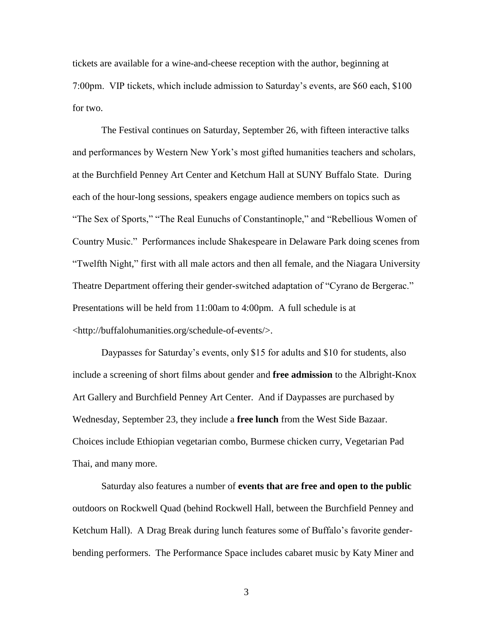tickets are available for a wine-and-cheese reception with the author, beginning at 7:00pm. VIP tickets, which include admission to Saturday's events, are \$60 each, \$100 for two.

The Festival continues on Saturday, September 26, with fifteen interactive talks and performances by Western New York's most gifted humanities teachers and scholars, at the Burchfield Penney Art Center and Ketchum Hall at SUNY Buffalo State. During each of the hour-long sessions, speakers engage audience members on topics such as "The Sex of Sports," "The Real Eunuchs of Constantinople," and "Rebellious Women of Country Music." Performances include Shakespeare in Delaware Park doing scenes from "Twelfth Night," first with all male actors and then all female, and the Niagara University Theatre Department offering their gender-switched adaptation of "Cyrano de Bergerac." Presentations will be held from 11:00am to 4:00pm. A full schedule is at <http://buffalohumanities.org/schedule-of-events/>.

Daypasses for Saturday's events, only \$15 for adults and \$10 for students, also include a screening of short films about gender and **free admission** to the Albright-Knox Art Gallery and Burchfield Penney Art Center. And if Daypasses are purchased by Wednesday, September 23, they include a **free lunch** from the West Side Bazaar. Choices include Ethiopian vegetarian combo, Burmese chicken curry, Vegetarian Pad Thai, and many more.

Saturday also features a number of **events that are free and open to the public** outdoors on Rockwell Quad (behind Rockwell Hall, between the Burchfield Penney and Ketchum Hall). A Drag Break during lunch features some of Buffalo's favorite genderbending performers. The Performance Space includes cabaret music by Katy Miner and